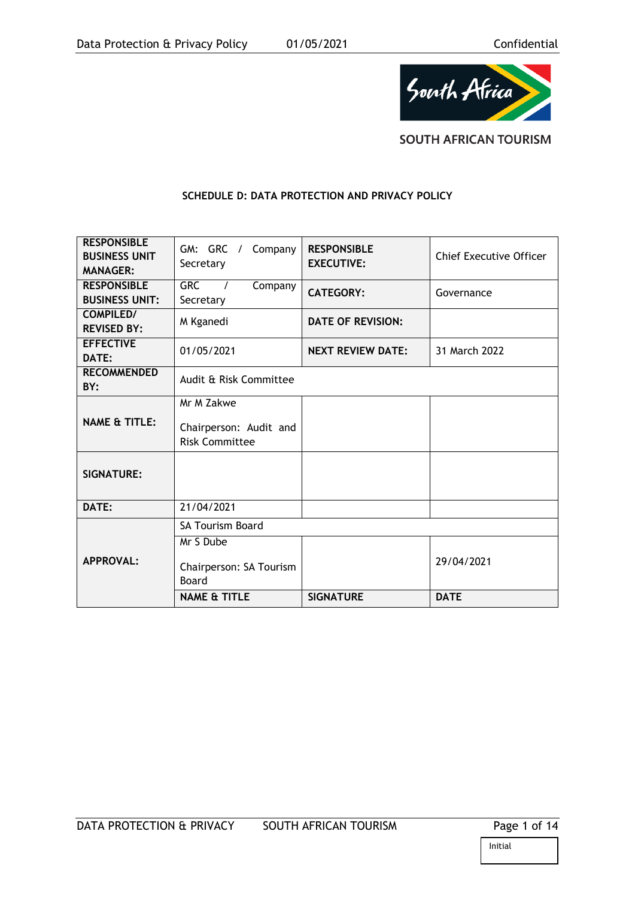

**SOUTH AFRICAN TOURISM** 

## **SCHEDULE D: DATA PROTECTION AND PRIVACY POLICY**

| <b>RESPONSIBLE</b><br><b>BUSINESS UNIT</b><br><b>MANAGER:</b> | GM: GRC /<br>Company<br>Secretary                             | <b>RESPONSIBLE</b><br><b>EXECUTIVE:</b> | <b>Chief Executive Officer</b> |
|---------------------------------------------------------------|---------------------------------------------------------------|-----------------------------------------|--------------------------------|
| <b>RESPONSIBLE</b><br><b>BUSINESS UNIT:</b>                   | <b>GRC</b><br>Company<br>$\overline{1}$<br>Secretary          | <b>CATEGORY:</b>                        | Governance                     |
| <b>COMPILED/</b><br><b>REVISED BY:</b>                        | M Kganedi                                                     | <b>DATE OF REVISION:</b>                |                                |
| <b>EFFECTIVE</b><br>DATE:                                     | 01/05/2021                                                    | <b>NEXT REVIEW DATE:</b>                | 31 March 2022                  |
| <b>RECOMMENDED</b><br>BY:                                     | Audit & Risk Committee                                        |                                         |                                |
| <b>NAME &amp; TITLE:</b>                                      | Mr M Zakwe<br>Chairperson: Audit and<br><b>Risk Committee</b> |                                         |                                |
| <b>SIGNATURE:</b>                                             |                                                               |                                         |                                |
| DATE:                                                         | 21/04/2021                                                    |                                         |                                |
|                                                               | <b>SA Tourism Board</b>                                       |                                         |                                |
| <b>APPROVAL:</b>                                              | Mr S Dube<br>Chairperson: SA Tourism<br>Board                 |                                         | 29/04/2021                     |
|                                                               | <b>NAME &amp; TITLE</b>                                       | <b>SIGNATURE</b>                        | <b>DATE</b>                    |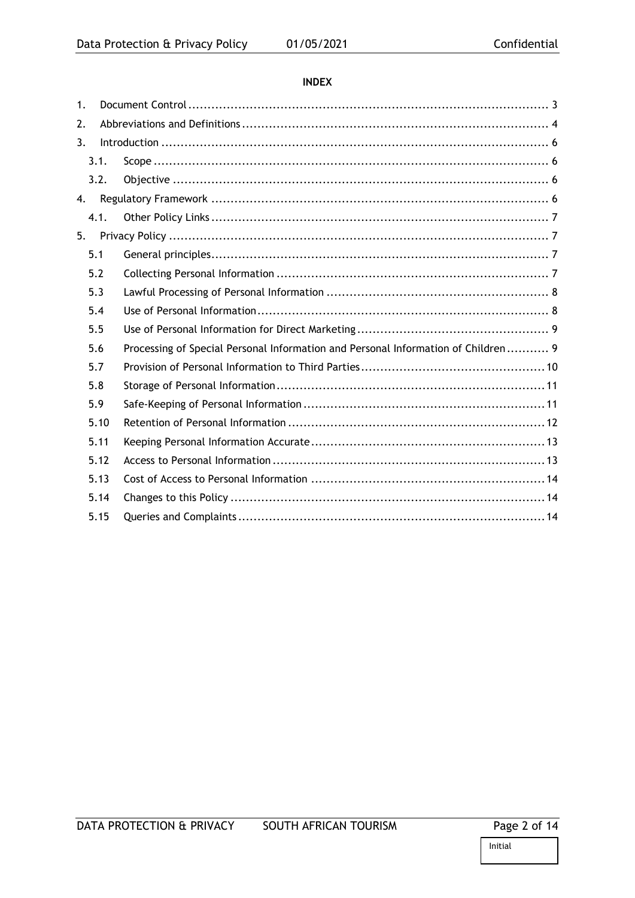# **INDEX**

| 1. |      |                                                                                   |  |  |
|----|------|-----------------------------------------------------------------------------------|--|--|
| 2. |      |                                                                                   |  |  |
| 3. |      |                                                                                   |  |  |
|    | 3.1. |                                                                                   |  |  |
|    | 3.2. |                                                                                   |  |  |
| 4. |      |                                                                                   |  |  |
|    | 4.1. |                                                                                   |  |  |
| 5. |      |                                                                                   |  |  |
|    | 5.1  |                                                                                   |  |  |
|    | 5.2  |                                                                                   |  |  |
|    | 5.3  |                                                                                   |  |  |
|    | 5.4  |                                                                                   |  |  |
|    | 5.5  |                                                                                   |  |  |
|    | 5.6  | Processing of Special Personal Information and Personal Information of Children 9 |  |  |
|    | 5.7  |                                                                                   |  |  |
|    | 5.8  |                                                                                   |  |  |
|    | 5.9  |                                                                                   |  |  |
|    | 5.10 |                                                                                   |  |  |
|    | 5.11 |                                                                                   |  |  |
|    | 5.12 |                                                                                   |  |  |
|    | 5.13 |                                                                                   |  |  |
|    | 5.14 |                                                                                   |  |  |
|    | 5.15 |                                                                                   |  |  |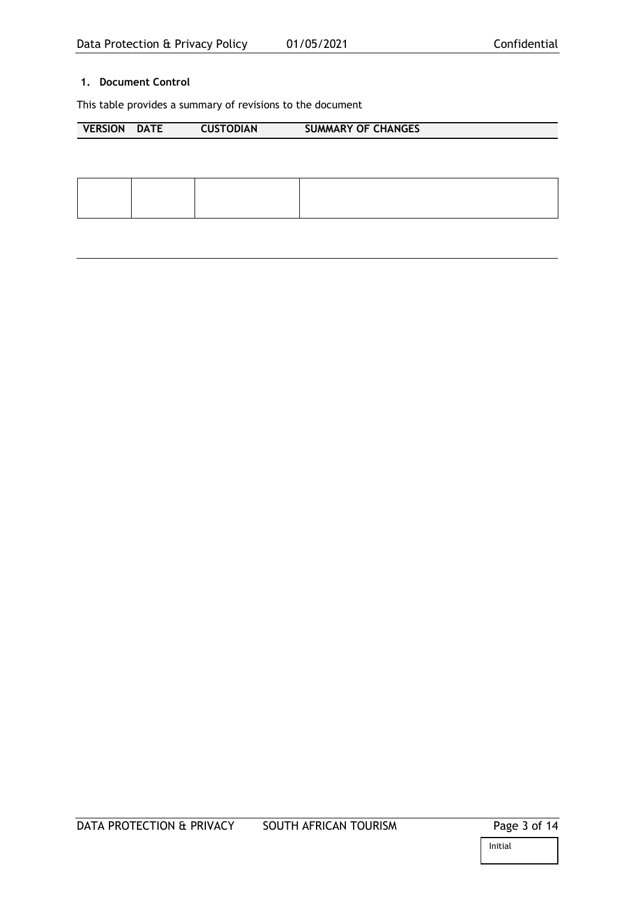# <span id="page-2-0"></span>**1. Document Control**

This table provides a summary of revisions to the document

| <b>VERSION</b> | <b>DATE</b> | <b>CUSTODIAN</b> | <b>SUMMARY OF CHANGES</b> |
|----------------|-------------|------------------|---------------------------|
|                |             |                  |                           |
|                |             |                  |                           |
|                |             |                  |                           |
|                |             |                  |                           |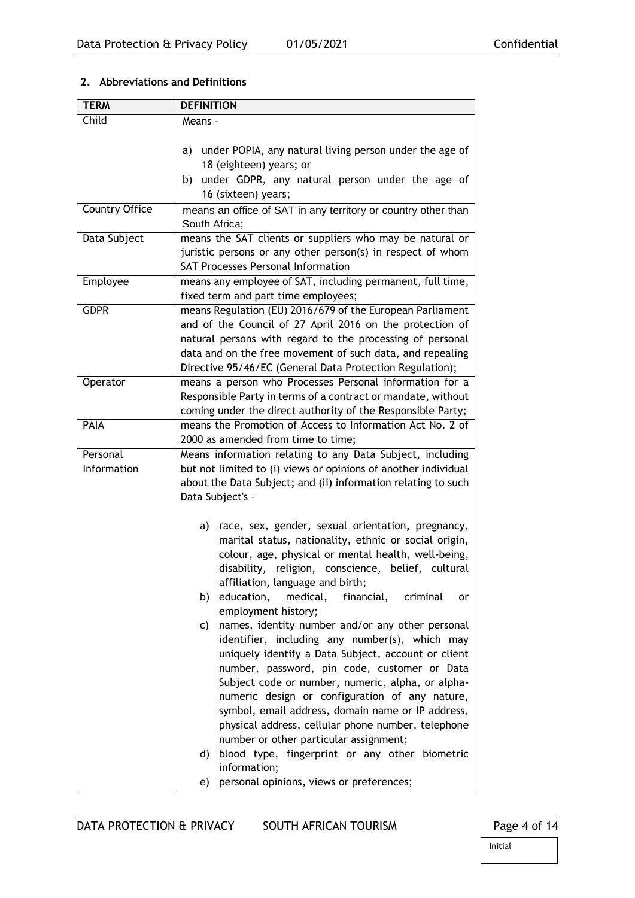# <span id="page-3-0"></span>**2. Abbreviations and Definitions**

| <b>TERM</b>    | <b>DEFINITION</b>                                                                   |
|----------------|-------------------------------------------------------------------------------------|
| Child          | Means -                                                                             |
|                |                                                                                     |
|                | under POPIA, any natural living person under the age of<br>a)                       |
|                | 18 (eighteen) years; or                                                             |
|                | under GDPR, any natural person under the age of<br>b)                               |
|                | 16 (sixteen) years;                                                                 |
| Country Office | means an office of SAT in any territory or country other than                       |
|                | South Africa;                                                                       |
| Data Subject   | means the SAT clients or suppliers who may be natural or                            |
|                | juristic persons or any other person(s) in respect of whom                          |
|                | <b>SAT Processes Personal Information</b>                                           |
| Employee       | means any employee of SAT, including permanent, full time,                          |
|                | fixed term and part time employees;                                                 |
| <b>GDPR</b>    | means Regulation (EU) 2016/679 of the European Parliament                           |
|                | and of the Council of 27 April 2016 on the protection of                            |
|                | natural persons with regard to the processing of personal                           |
|                | data and on the free movement of such data, and repealing                           |
|                | Directive 95/46/EC (General Data Protection Regulation);                            |
| Operator       | means a person who Processes Personal information for a                             |
|                | Responsible Party in terms of a contract or mandate, without                        |
|                | coming under the direct authority of the Responsible Party;                         |
| PAIA           | means the Promotion of Access to Information Act No. 2 of                           |
|                | 2000 as amended from time to time;                                                  |
| Personal       | Means information relating to any Data Subject, including                           |
| Information    | but not limited to (i) views or opinions of another individual                      |
|                | about the Data Subject; and (ii) information relating to such                       |
|                | Data Subject's -                                                                    |
|                |                                                                                     |
|                | race, sex, gender, sexual orientation, pregnancy,<br>a)                             |
|                | marital status, nationality, ethnic or social origin,                               |
|                | colour, age, physical or mental health, well-being,                                 |
|                | disability, religion, conscience, belief, cultural                                  |
|                | affiliation, language and birth;                                                    |
|                | education,<br>medical,<br>financial,<br>criminal<br>b)<br>or<br>employment history; |
|                | names, identity number and/or any other personal<br>C)                              |
|                | identifier, including any number(s), which may                                      |
|                | uniquely identify a Data Subject, account or client                                 |
|                | number, password, pin code, customer or Data                                        |
|                | Subject code or number, numeric, alpha, or alpha-                                   |
|                | numeric design or configuration of any nature,                                      |
|                | symbol, email address, domain name or IP address,                                   |
|                | physical address, cellular phone number, telephone                                  |
|                | number or other particular assignment;                                              |
|                | blood type, fingerprint or any other biometric<br>d)                                |
|                | information;                                                                        |
|                | personal opinions, views or preferences;<br>e)                                      |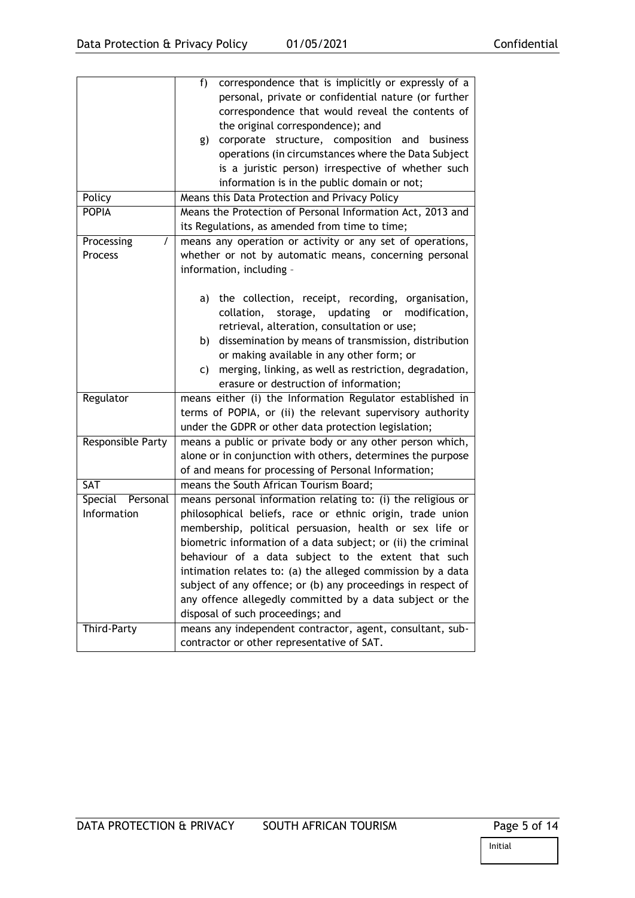|                     | $f$ )<br>correspondence that is implicitly or expressly of a  |  |
|---------------------|---------------------------------------------------------------|--|
|                     | personal, private or confidential nature (or further          |  |
|                     | correspondence that would reveal the contents of              |  |
|                     | the original correspondence); and                             |  |
|                     | corporate structure, composition and business<br>g)           |  |
|                     | operations (in circumstances where the Data Subject           |  |
|                     | is a juristic person) irrespective of whether such            |  |
|                     | information is in the public domain or not;                   |  |
| Policy              | Means this Data Protection and Privacy Policy                 |  |
| <b>POPIA</b>        | Means the Protection of Personal Information Act, 2013 and    |  |
|                     | its Regulations, as amended from time to time;                |  |
| Processing<br>T     | means any operation or activity or any set of operations,     |  |
| Process             | whether or not by automatic means, concerning personal        |  |
|                     | information, including -                                      |  |
|                     |                                                               |  |
|                     | the collection, receipt, recording, organisation,<br>a)       |  |
|                     | updating or<br>collation,<br>storage,<br>modification,        |  |
|                     | retrieval, alteration, consultation or use;                   |  |
|                     | dissemination by means of transmission, distribution<br>b)    |  |
|                     | or making available in any other form; or                     |  |
|                     | merging, linking, as well as restriction, degradation,<br>C)  |  |
|                     | erasure or destruction of information;                        |  |
| Regulator           | means either (i) the Information Regulator established in     |  |
|                     | terms of POPIA, or (ii) the relevant supervisory authority    |  |
|                     | under the GDPR or other data protection legislation;          |  |
| Responsible Party   | means a public or private body or any other person which,     |  |
|                     | alone or in conjunction with others, determines the purpose   |  |
|                     | of and means for processing of Personal Information;          |  |
| SAT                 | means the South African Tourism Board;                        |  |
| Special<br>Personal | means personal information relating to: (i) the religious or  |  |
| Information         | philosophical beliefs, race or ethnic origin, trade union     |  |
|                     | membership, political persuasion, health or sex life or       |  |
|                     | biometric information of a data subject; or (ii) the criminal |  |
|                     | behaviour of a data subject to the extent that such           |  |
|                     | intimation relates to: (a) the alleged commission by a data   |  |
|                     | subject of any offence; or (b) any proceedings in respect of  |  |
|                     | any offence allegedly committed by a data subject or the      |  |
|                     | disposal of such proceedings; and                             |  |
| Third-Party         | means any independent contractor, agent, consultant, sub-     |  |
|                     | contractor or other representative of SAT.                    |  |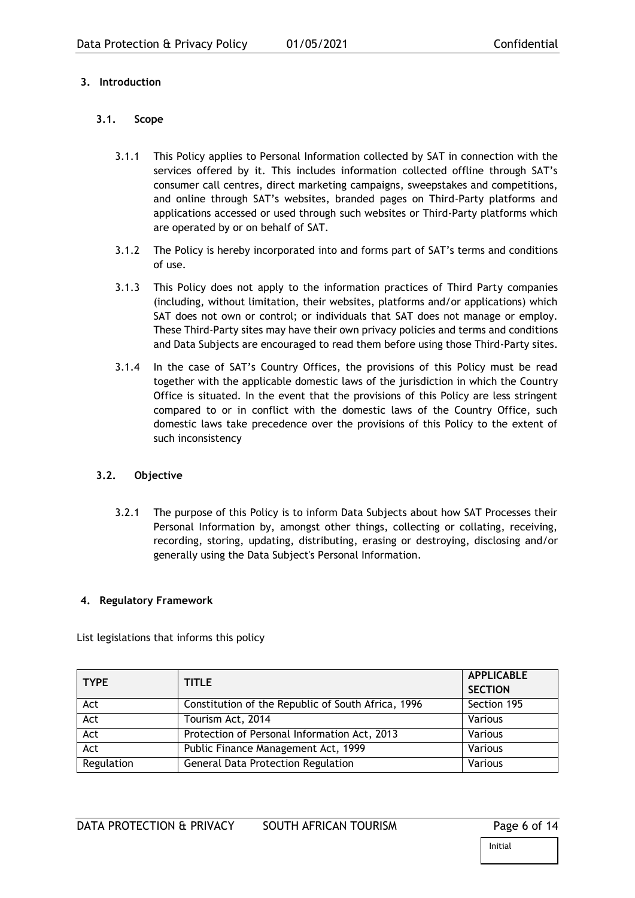# <span id="page-5-0"></span>**3. Introduction**

### <span id="page-5-1"></span>**3.1. Scope**

- 3.1.1 This Policy applies to Personal Information collected by SAT in connection with the services offered by it. This includes information collected offline through SAT's consumer call centres, direct marketing campaigns, sweepstakes and competitions, and online through SAT's websites, branded pages on Third-Party platforms and applications accessed or used through such websites or Third-Party platforms which are operated by or on behalf of SAT.
- 3.1.2 The Policy is hereby incorporated into and forms part of SAT's terms and conditions of use.
- 3.1.3 This Policy does not apply to the information practices of Third Party companies (including, without limitation, their websites, platforms and/or applications) which SAT does not own or control; or individuals that SAT does not manage or employ. These Third-Party sites may have their own privacy policies and terms and conditions and Data Subjects are encouraged to read them before using those Third-Party sites.
- 3.1.4 In the case of SAT's Country Offices, the provisions of this Policy must be read together with the applicable domestic laws of the jurisdiction in which the Country Office is situated. In the event that the provisions of this Policy are less stringent compared to or in conflict with the domestic laws of the Country Office, such domestic laws take precedence over the provisions of this Policy to the extent of such inconsistency

# <span id="page-5-2"></span>**3.2. Objective**

3.2.1 The purpose of this Policy is to inform Data Subjects about how SAT Processes their Personal Information by, amongst other things, collecting or collating, receiving, recording, storing, updating, distributing, erasing or destroying, disclosing and/or generally using the Data Subject's Personal Information.

#### <span id="page-5-3"></span>**4. Regulatory Framework**

List legislations that informs this policy

| <b>TYPE</b> | <b>TITLE</b>                                       | <b>APPLICABLE</b><br><b>SECTION</b> |
|-------------|----------------------------------------------------|-------------------------------------|
| Act         | Constitution of the Republic of South Africa, 1996 | Section 195                         |
| Act         | Tourism Act, 2014                                  | Various                             |
| Act         | Protection of Personal Information Act, 2013       | Various                             |
| Act         | Public Finance Management Act, 1999                | Various                             |
| Regulation  | <b>General Data Protection Regulation</b>          | Various                             |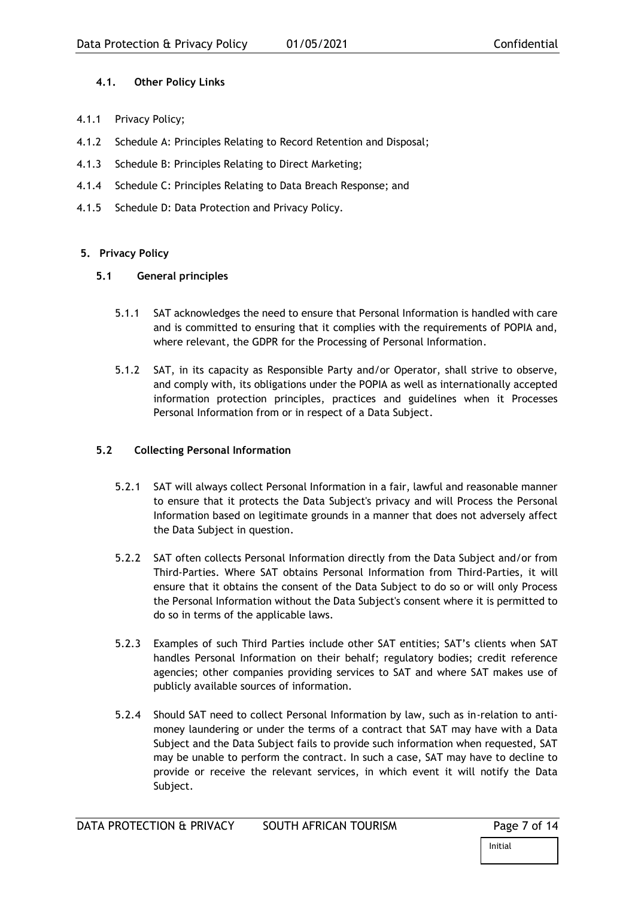## <span id="page-6-0"></span>**4.1. Other Policy Links**

- 4.1.1 Privacy Policy;
- 4.1.2 Schedule A: Principles Relating to Record Retention and Disposal;
- 4.1.3 Schedule B: Principles Relating to Direct Marketing;
- 4.1.4 Schedule C: Principles Relating to Data Breach Response; and
- 4.1.5 Schedule D: Data Protection and Privacy Policy.

### <span id="page-6-1"></span>**5. Privacy Policy**

#### <span id="page-6-2"></span>**5.1 General principles**

- 5.1.1 SAT acknowledges the need to ensure that Personal Information is handled with care and is committed to ensuring that it complies with the requirements of POPIA and, where relevant, the GDPR for the Processing of Personal Information.
- 5.1.2 SAT, in its capacity as Responsible Party and/or Operator, shall strive to observe, and comply with, its obligations under the POPIA as well as internationally accepted information protection principles, practices and guidelines when it Processes Personal Information from or in respect of a Data Subject.

# <span id="page-6-3"></span>**5.2 Collecting Personal Information**

- 5.2.1 SAT will always collect Personal Information in a fair, lawful and reasonable manner to ensure that it protects the Data Subject's privacy and will Process the Personal Information based on legitimate grounds in a manner that does not adversely affect the Data Subject in question.
- 5.2.2 SAT often collects Personal Information directly from the Data Subject and/or from Third-Parties. Where SAT obtains Personal Information from Third-Parties, it will ensure that it obtains the consent of the Data Subject to do so or will only Process the Personal Information without the Data Subject's consent where it is permitted to do so in terms of the applicable laws.
- 5.2.3 Examples of such Third Parties include other SAT entities; SAT's clients when SAT handles Personal Information on their behalf; regulatory bodies; credit reference agencies; other companies providing services to SAT and where SAT makes use of publicly available sources of information.
- 5.2.4 Should SAT need to collect Personal Information by law, such as in-relation to antimoney laundering or under the terms of a contract that SAT may have with a Data Subject and the Data Subject fails to provide such information when requested, SAT may be unable to perform the contract. In such a case, SAT may have to decline to provide or receive the relevant services, in which event it will notify the Data Subject.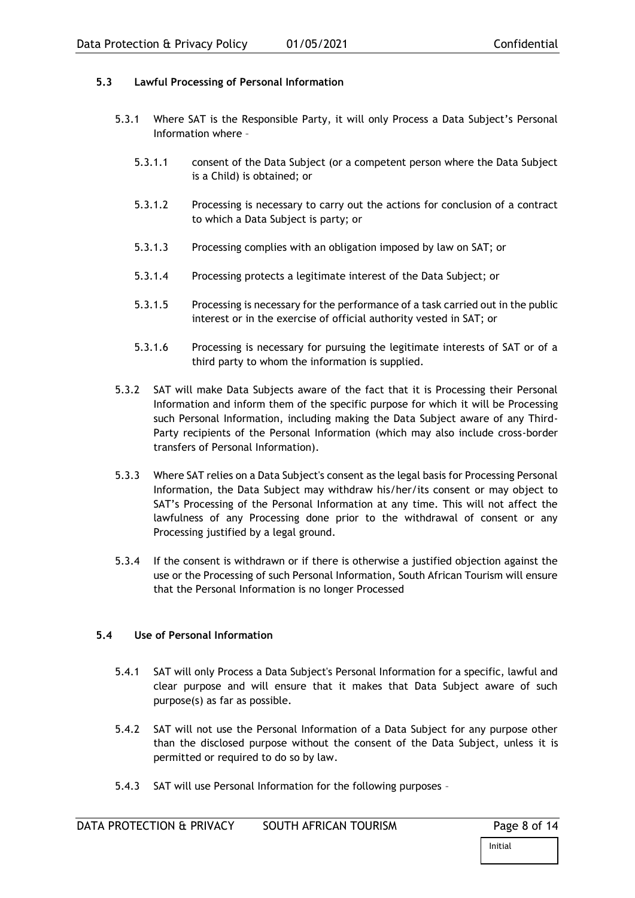# <span id="page-7-0"></span>**5.3 Lawful Processing of Personal Information**

- 5.3.1 Where SAT is the Responsible Party, it will only Process a Data Subject's Personal Information where –
	- 5.3.1.1 consent of the Data Subject (or a competent person where the Data Subject is a Child) is obtained; or
	- 5.3.1.2 Processing is necessary to carry out the actions for conclusion of a contract to which a Data Subject is party; or
	- 5.3.1.3 Processing complies with an obligation imposed by law on SAT; or
	- 5.3.1.4 Processing protects a legitimate interest of the Data Subject; or
	- 5.3.1.5 Processing is necessary for the performance of a task carried out in the public interest or in the exercise of official authority vested in SAT; or
	- 5.3.1.6 Processing is necessary for pursuing the legitimate interests of SAT or of a third party to whom the information is supplied.
- 5.3.2 SAT will make Data Subjects aware of the fact that it is Processing their Personal Information and inform them of the specific purpose for which it will be Processing such Personal Information, including making the Data Subject aware of any Third-Party recipients of the Personal Information (which may also include cross-border transfers of Personal Information).
- 5.3.3 Where SAT relies on a Data Subject's consent as the legal basis for Processing Personal Information, the Data Subject may withdraw his/her/its consent or may object to SAT's Processing of the Personal Information at any time. This will not affect the lawfulness of any Processing done prior to the withdrawal of consent or any Processing justified by a legal ground.
- 5.3.4 If the consent is withdrawn or if there is otherwise a justified objection against the use or the Processing of such Personal Information, South African Tourism will ensure that the Personal Information is no longer Processed

### <span id="page-7-1"></span>**5.4 Use of Personal Information**

- 5.4.1 SAT will only Process a Data Subject's Personal Information for a specific, lawful and clear purpose and will ensure that it makes that Data Subject aware of such purpose(s) as far as possible.
- 5.4.2 SAT will not use the Personal Information of a Data Subject for any purpose other than the disclosed purpose without the consent of the Data Subject, unless it is permitted or required to do so by law.
- 5.4.3 SAT will use Personal Information for the following purposes –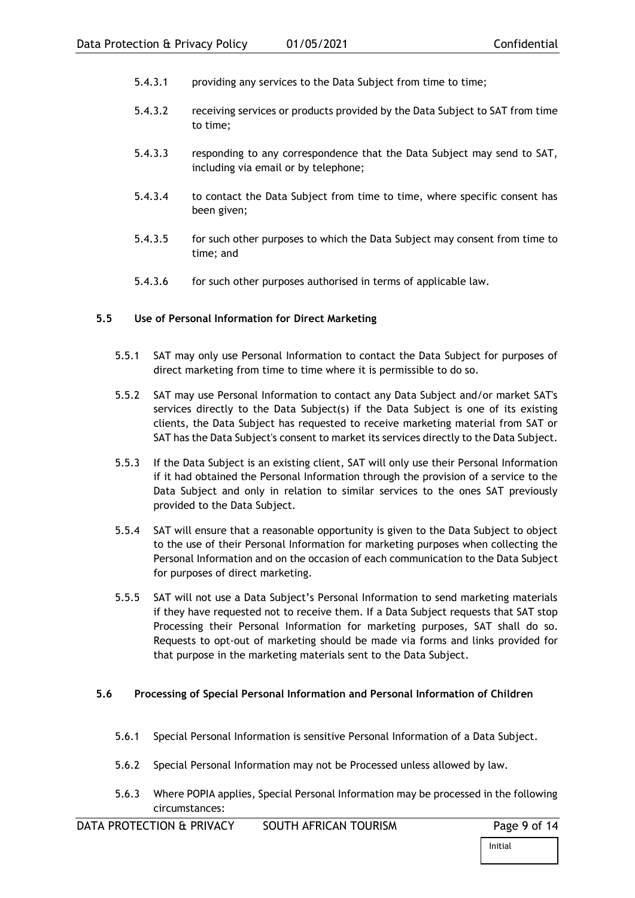- 5.4.3.1 providing any services to the Data Subject from time to time;
- 5.4.3.2 receiving services or products provided by the Data Subject to SAT from time to time;
- 5.4.3.3 responding to any correspondence that the Data Subject may send to SAT, including via email or by telephone;
- 5.4.3.4 to contact the Data Subject from time to time, where specific consent has been given;
- 5.4.3.5 for such other purposes to which the Data Subject may consent from time to time; and
- 5.4.3.6 for such other purposes authorised in terms of applicable law.

#### <span id="page-8-0"></span>**5.5 Use of Personal Information for Direct Marketing**

- 5.5.1 SAT may only use Personal Information to contact the Data Subject for purposes of direct marketing from time to time where it is permissible to do so.
- 5.5.2 SAT may use Personal Information to contact any Data Subject and/or market SAT's services directly to the Data Subject(s) if the Data Subject is one of its existing clients, the Data Subject has requested to receive marketing material from SAT or SAT has the Data Subject's consent to market its services directly to the Data Subject.
- 5.5.3 If the Data Subject is an existing client, SAT will only use their Personal Information if it had obtained the Personal Information through the provision of a service to the Data Subject and only in relation to similar services to the ones SAT previously provided to the Data Subject.
- 5.5.4 SAT will ensure that a reasonable opportunity is given to the Data Subject to object to the use of their Personal Information for marketing purposes when collecting the Personal Information and on the occasion of each communication to the Data Subject for purposes of direct marketing.
- 5.5.5 SAT will not use a Data Subject's Personal Information to send marketing materials if they have requested not to receive them. If a Data Subject requests that SAT stop Processing their Personal Information for marketing purposes, SAT shall do so. Requests to opt-out of marketing should be made via forms and links provided for that purpose in the marketing materials sent to the Data Subject.

#### <span id="page-8-1"></span>**5.6 Processing of Special Personal Information and Personal Information of Children**

- 5.6.1 Special Personal Information is sensitive Personal Information of a Data Subject.
- 5.6.2 Special Personal Information may not be Processed unless allowed by law.
- 5.6.3 Where POPIA applies, Special Personal Information may be processed in the following circumstances: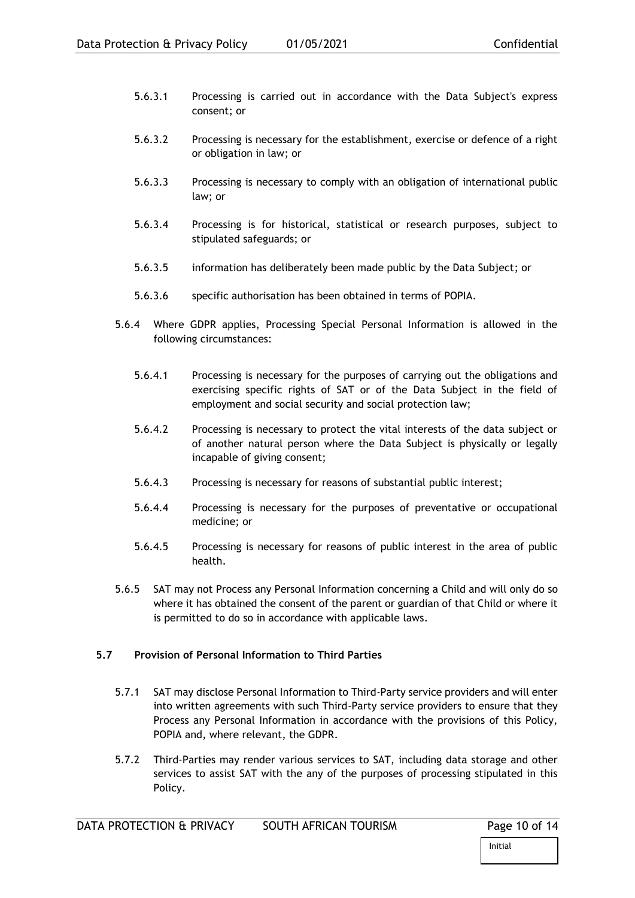- 5.6.3.1 Processing is carried out in accordance with the Data Subject's express consent; or
- 5.6.3.2 Processing is necessary for the establishment, exercise or defence of a right or obligation in law; or
- 5.6.3.3 Processing is necessary to comply with an obligation of international public law; or
- 5.6.3.4 Processing is for historical, statistical or research purposes, subject to stipulated safeguards; or
- 5.6.3.5 information has deliberately been made public by the Data Subject; or
- 5.6.3.6 specific authorisation has been obtained in terms of POPIA.
- 5.6.4 Where GDPR applies, Processing Special Personal Information is allowed in the following circumstances:
	- 5.6.4.1 Processing is necessary for the purposes of carrying out the obligations and exercising specific rights of SAT or of the Data Subject in the field of employment and social security and social protection law;
	- 5.6.4.2 Processing is necessary to protect the vital interests of the data subject or of another natural person where the Data Subject is physically or legally incapable of giving consent;
	- 5.6.4.3 Processing is necessary for reasons of substantial public interest;
	- 5.6.4.4 Processing is necessary for the purposes of preventative or occupational medicine; or
	- 5.6.4.5 Processing is necessary for reasons of public interest in the area of public health.
- 5.6.5 SAT may not Process any Personal Information concerning a Child and will only do so where it has obtained the consent of the parent or guardian of that Child or where it is permitted to do so in accordance with applicable laws.

#### <span id="page-9-0"></span>**5.7 Provision of Personal Information to Third Parties**

- 5.7.1 SAT may disclose Personal Information to Third-Party service providers and will enter into written agreements with such Third-Party service providers to ensure that they Process any Personal Information in accordance with the provisions of this Policy, POPIA and, where relevant, the GDPR.
- 5.7.2 Third-Parties may render various services to SAT, including data storage and other services to assist SAT with the any of the purposes of processing stipulated in this Policy.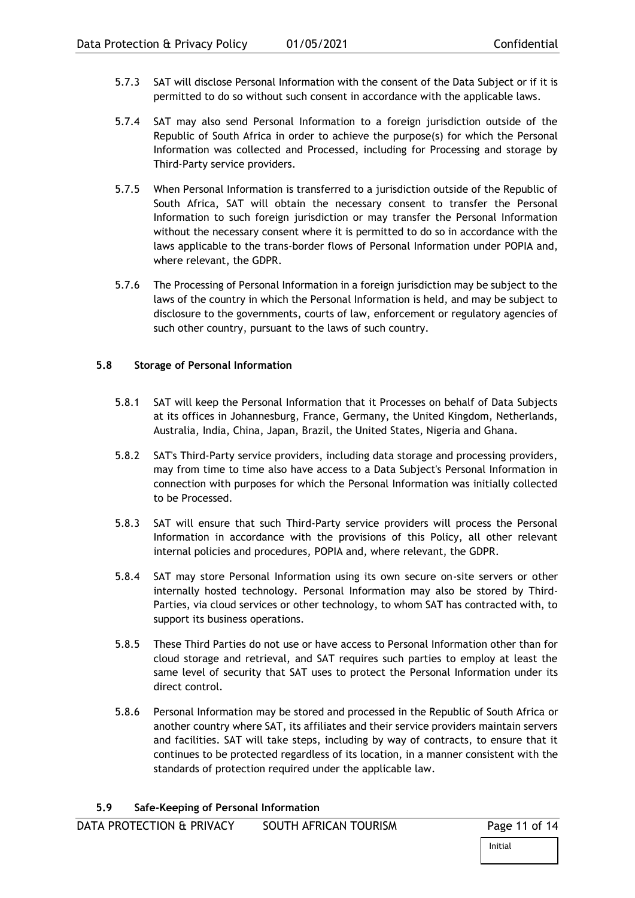- 5.7.3 SAT will disclose Personal Information with the consent of the Data Subject or if it is permitted to do so without such consent in accordance with the applicable laws.
- 5.7.4 SAT may also send Personal Information to a foreign jurisdiction outside of the Republic of South Africa in order to achieve the purpose(s) for which the Personal Information was collected and Processed, including for Processing and storage by Third-Party service providers.
- 5.7.5 When Personal Information is transferred to a jurisdiction outside of the Republic of South Africa, SAT will obtain the necessary consent to transfer the Personal Information to such foreign jurisdiction or may transfer the Personal Information without the necessary consent where it is permitted to do so in accordance with the laws applicable to the trans-border flows of Personal Information under POPIA and, where relevant, the GDPR.
- 5.7.6 The Processing of Personal Information in a foreign jurisdiction may be subject to the laws of the country in which the Personal Information is held, and may be subject to disclosure to the governments, courts of law, enforcement or regulatory agencies of such other country, pursuant to the laws of such country.

#### <span id="page-10-0"></span>**5.8 Storage of Personal Information**

- 5.8.1 SAT will keep the Personal Information that it Processes on behalf of Data Subjects at its offices in Johannesburg, France, Germany, the United Kingdom, Netherlands, Australia, India, China, Japan, Brazil, the United States, Nigeria and Ghana.
- 5.8.2 SAT's Third-Party service providers, including data storage and processing providers, may from time to time also have access to a Data Subject's Personal Information in connection with purposes for which the Personal Information was initially collected to be Processed.
- 5.8.3 SAT will ensure that such Third-Party service providers will process the Personal Information in accordance with the provisions of this Policy, all other relevant internal policies and procedures, POPIA and, where relevant, the GDPR.
- 5.8.4 SAT may store Personal Information using its own secure on-site servers or other internally hosted technology. Personal Information may also be stored by Third-Parties, via cloud services or other technology, to whom SAT has contracted with, to support its business operations.
- 5.8.5 These Third Parties do not use or have access to Personal Information other than for cloud storage and retrieval, and SAT requires such parties to employ at least the same level of security that SAT uses to protect the Personal Information under its direct control.
- <span id="page-10-1"></span>5.8.6 Personal Information may be stored and processed in the Republic of South Africa or another country where SAT, its affiliates and their service providers maintain servers and facilities. SAT will take steps, including by way of contracts, to ensure that it continues to be protected regardless of its location, in a manner consistent with the standards of protection required under the applicable law.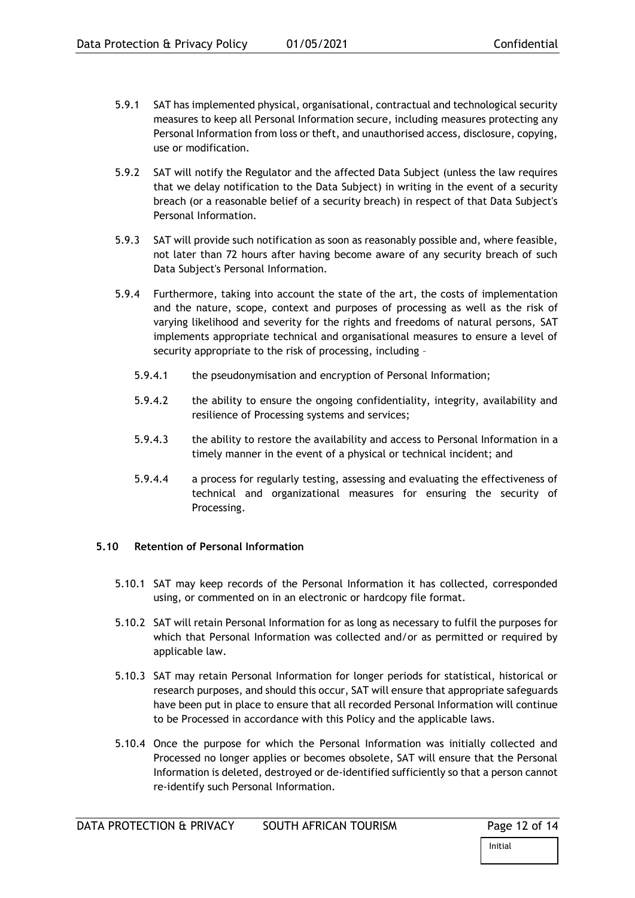- 5.9.1 SAT has implemented physical, organisational, contractual and technological security measures to keep all Personal Information secure, including measures protecting any Personal Information from loss or theft, and unauthorised access, disclosure, copying, use or modification.
- 5.9.2 SAT will notify the Regulator and the affected Data Subject (unless the law requires that we delay notification to the Data Subject) in writing in the event of a security breach (or a reasonable belief of a security breach) in respect of that Data Subject's Personal Information.
- 5.9.3 SAT will provide such notification as soon as reasonably possible and, where feasible, not later than 72 hours after having become aware of any security breach of such Data Subject's Personal Information.
- 5.9.4 Furthermore, taking into account the state of the art, the costs of implementation and the nature, scope, context and purposes of processing as well as the risk of varying likelihood and severity for the rights and freedoms of natural persons, SAT implements appropriate technical and organisational measures to ensure a level of security appropriate to the risk of processing, including –
	- 5.9.4.1 the pseudonymisation and encryption of Personal Information;
	- 5.9.4.2 the ability to ensure the ongoing confidentiality, integrity, availability and resilience of Processing systems and services;
	- 5.9.4.3 the ability to restore the availability and access to Personal Information in a timely manner in the event of a physical or technical incident; and
	- 5.9.4.4 a process for regularly testing, assessing and evaluating the effectiveness of technical and organizational measures for ensuring the security of Processing.

# <span id="page-11-0"></span>**5.10 Retention of Personal Information**

- 5.10.1 SAT may keep records of the Personal Information it has collected, corresponded using, or commented on in an electronic or hardcopy file format.
- 5.10.2 SAT will retain Personal Information for as long as necessary to fulfil the purposes for which that Personal Information was collected and/or as permitted or required by applicable law.
- 5.10.3 SAT may retain Personal Information for longer periods for statistical, historical or research purposes, and should this occur, SAT will ensure that appropriate safeguards have been put in place to ensure that all recorded Personal Information will continue to be Processed in accordance with this Policy and the applicable laws.
- 5.10.4 Once the purpose for which the Personal Information was initially collected and Processed no longer applies or becomes obsolete, SAT will ensure that the Personal Information is deleted, destroyed or de-identified sufficiently so that a person cannot re-identify such Personal Information.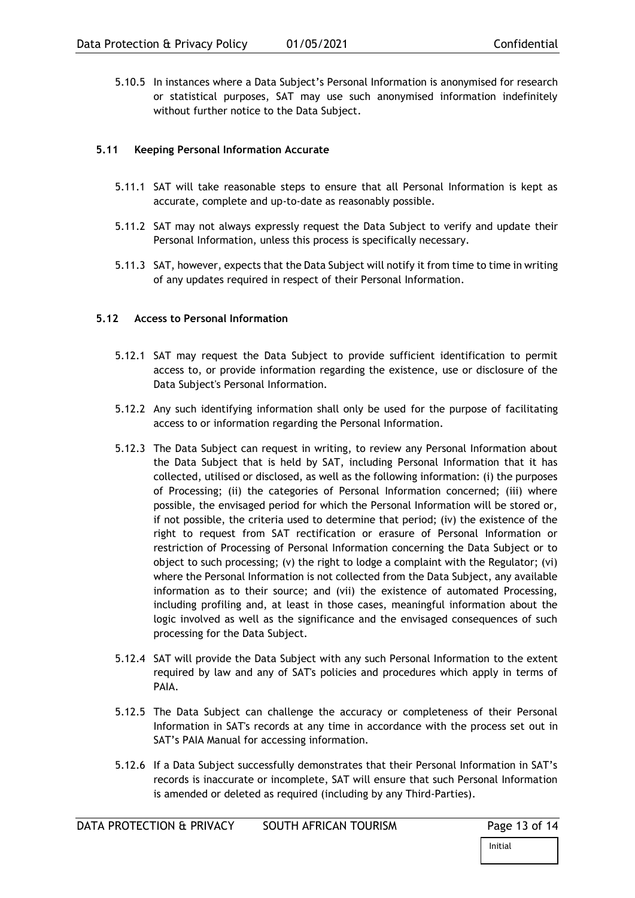5.10.5 In instances where a Data Subject's Personal Information is anonymised for research or statistical purposes, SAT may use such anonymised information indefinitely without further notice to the Data Subject.

# <span id="page-12-0"></span>**5.11 Keeping Personal Information Accurate**

- 5.11.1 SAT will take reasonable steps to ensure that all Personal Information is kept as accurate, complete and up-to-date as reasonably possible.
- 5.11.2 SAT may not always expressly request the Data Subject to verify and update their Personal Information, unless this process is specifically necessary.
- 5.11.3 SAT, however, expects that the Data Subject will notify it from time to time in writing of any updates required in respect of their Personal Information.

### <span id="page-12-1"></span>**5.12 Access to Personal Information**

- 5.12.1 SAT may request the Data Subject to provide sufficient identification to permit access to, or provide information regarding the existence, use or disclosure of the Data Subject's Personal Information.
- 5.12.2 Any such identifying information shall only be used for the purpose of facilitating access to or information regarding the Personal Information.
- 5.12.3 The Data Subject can request in writing, to review any Personal Information about the Data Subject that is held by SAT, including Personal Information that it has collected, utilised or disclosed, as well as the following information: (i) the purposes of Processing; (ii) the categories of Personal Information concerned; (iii) where possible, the envisaged period for which the Personal Information will be stored or, if not possible, the criteria used to determine that period; (iv) the existence of the right to request from SAT rectification or erasure of Personal Information or restriction of Processing of Personal Information concerning the Data Subject or to object to such processing; (v) the right to lodge a complaint with the Regulator; (vi) where the Personal Information is not collected from the Data Subject, any available information as to their source; and (vii) the existence of automated Processing, including profiling and, at least in those cases, meaningful information about the logic involved as well as the significance and the envisaged consequences of such processing for the Data Subject.
- 5.12.4 SAT will provide the Data Subject with any such Personal Information to the extent required by law and any of SAT's policies and procedures which apply in terms of PAIA.
- 5.12.5 The Data Subject can challenge the accuracy or completeness of their Personal Information in SAT's records at any time in accordance with the process set out in SAT's PAIA Manual for accessing information.
- 5.12.6 If a Data Subject successfully demonstrates that their Personal Information in SAT's records is inaccurate or incomplete, SAT will ensure that such Personal Information is amended or deleted as required (including by any Third-Parties).